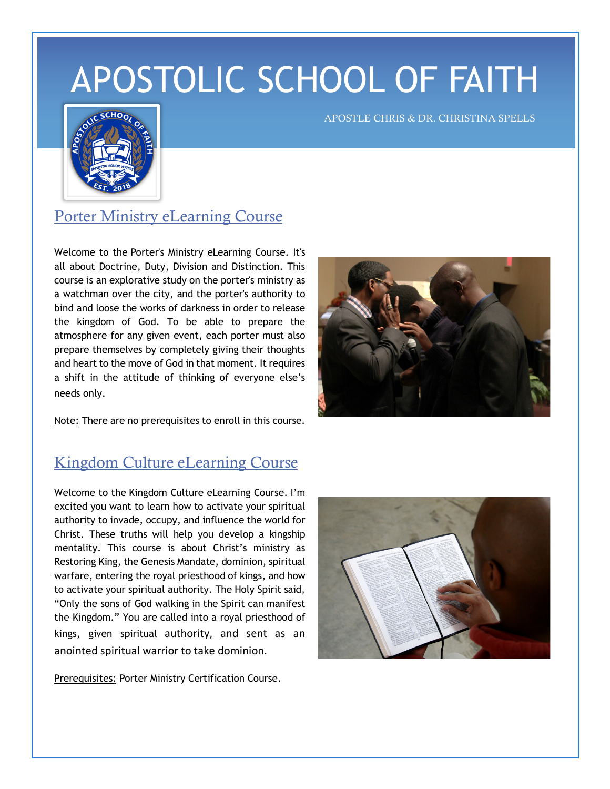## APOSTOLIC SCHOOL OF FAITH



APOSTLE CHRIS & DR. CHRISTINA SPELLS

## Porter Ministry eLearning Course

Welcome to the Porter's Ministry eLearning Course. It's all about Doctrine, Duty, Division and Distinction. This course is an explorative study on the porter's ministry as a watchman over the city, and the porter's authority to bind and loose the works of darkness in order to release the kingdom of God. To be able to prepare the atmosphere for any given event, each porter must also prepare themselves by completely giving their thoughts and heart to the move of God in that moment. It requires a shift in the attitude of thinking of everyone else's needs only.



Note: There are no prerequisites to enroll in this course.

## Kingdom Culture eLearning Course

Welcome to the Kingdom Culture eLearning Course. I'm excited you want to learn how to activate your spiritual authority to invade, occupy, and influence the world for Christ. These truths will help you develop a kingship mentality. This course is about Christ's ministry as Restoring King, the Genesis Mandate, dominion, spiritual warfare, entering the royal priesthood of kings, and how to activate your spiritual authority. The Holy Spirit said, "Only the sons of God walking in the Spirit can manifest the Kingdom." You are called into a royal priesthood of kings, given spiritual authority, and sent as an anointed spiritual warrior to take dominion.

Prerequisites: Porter Ministry Certification Course.